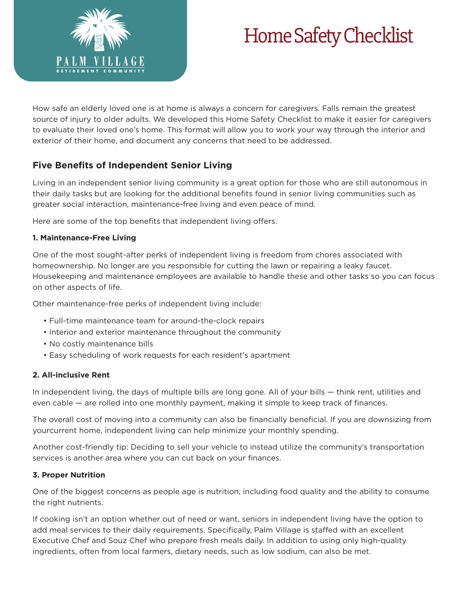

# Home Safety Checklist

How safe an elderly loved one is at home is always a concern for caregivers. Falls remain the greatest source of injury to older adults. We developed this Home Safety Checklist to make it easier for caregivers to evaluate their loved one's home. This format will allow you to work your way through the interior and exterior of their home, and document any concerns that need to be addressed.

# **Five Benefits of Independent Senior Living**

Living in an independent senior living community is a great option for those who are still autonomous in their daily tasks but are looking for the additional benefits found in senior living communities such as greater social interaction, maintenance-free living and even peace of mind.

Here are some of the top benefits that independent living offers.

#### **1. Maintenance-Free Living**

One of the most sought-after perks of independent living is freedom from chores associated with homeownership. No longer are you responsible for cutting the lawn or repairing a leaky faucet. Housekeeping and maintenance employees are available to handle these and other tasks so you can focus on other aspects of life.

Other maintenance-free perks of independent living include:

- Full-time maintenance team for around-the-clock repairs
- Interior and exterior maintenance throughout the community
- No costly maintenance bills
- Easy scheduling of work requests for each resident's apartment

### **2. All-inclusive Rent**

In independent living, the days of multiple bills are long gone. All of your bills — think rent, utilities and even cable — are rolled into one monthly payment, making it simple to keep track of finances.

The overall cost of moving into a community can also be financially beneficial. If you are downsizing from yourcurrent home, independent living can help minimize your monthly spending.

Another cost-friendly tip: Deciding to sell your vehicle to instead utilize the community's transportation services is another area where you can cut back on your finances.

### **3. Proper Nutrition**

One of the biggest concerns as people age is nutrition, including food quality and the ability to consume the right nutrients.

If cooking isn't an option whether out of need or want, seniors in independent living have the option to add meal services to their daily requirements. Specifically, Palm Village is staffed with an excellent Executive Chef and Souz Chef who prepare fresh meals daily. In addition to using only high-quality ingredients, often from local farmers, dietary needs, such as low sodium, can also be met.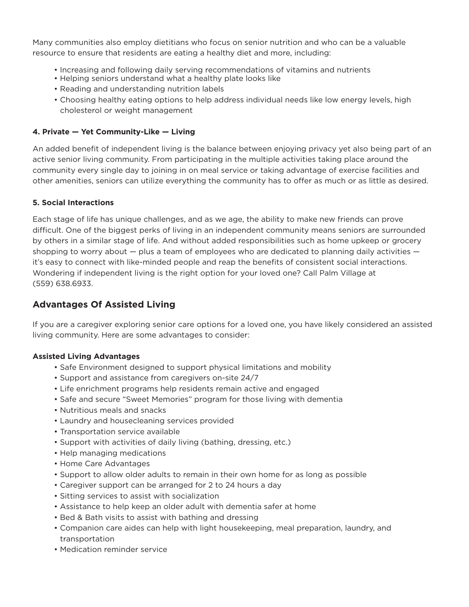Many communities also employ dietitians who focus on senior nutrition and who can be a valuable resource to ensure that residents are eating a healthy diet and more, including:

- Increasing and following daily serving recommendations of vitamins and nutrients
- Helping seniors understand what a healthy plate looks like
- Reading and understanding nutrition labels
- Choosing healthy eating options to help address individual needs like low energy levels, high cholesterol or weight management

#### **4. Private — Yet Community-Like — Living**

An added benefit of independent living is the balance between enjoying privacy yet also being part of an active senior living community. From participating in the multiple activities taking place around the community every single day to joining in on meal service or taking advantage of exercise facilities and other amenities, seniors can utilize everything the community has to offer as much or as little as desired.

#### **5. Social Interactions**

Each stage of life has unique challenges, and as we age, the ability to make new friends can prove difficult. One of the biggest perks of living in an independent community means seniors are surrounded by others in a similar stage of life. And without added responsibilities such as home upkeep or grocery shopping to worry about  $-$  plus a team of employees who are dedicated to planning daily activities  $$ it's easy to connect with like-minded people and reap the benefits of consistent social interactions. Wondering if independent living is the right option for your loved one? Call Palm Village at (559) 638.6933.

# **Advantages Of Assisted Living**

If you are a caregiver exploring senior care options for a loved one, you have likely considered an assisted living community. Here are some advantages to consider:

#### **Assisted Living Advantages**

- Safe Environment designed to support physical limitations and mobility
- Support and assistance from caregivers on-site 24/7
- Life enrichment programs help residents remain active and engaged
- Safe and secure "Sweet Memories" program for those living with dementia
- Nutritious meals and snacks
- Laundry and housecleaning services provided
- Transportation service available
- Support with activities of daily living (bathing, dressing, etc.)
- Help managing medications
- Home Care Advantages
- Support to allow older adults to remain in their own home for as long as possible
- Caregiver support can be arranged for 2 to 24 hours a day
- Sitting services to assist with socialization
- Assistance to help keep an older adult with dementia safer at home
- Bed & Bath visits to assist with bathing and dressing
- Companion care aides can help with light housekeeping, meal preparation, laundry, and transportation
- Medication reminder service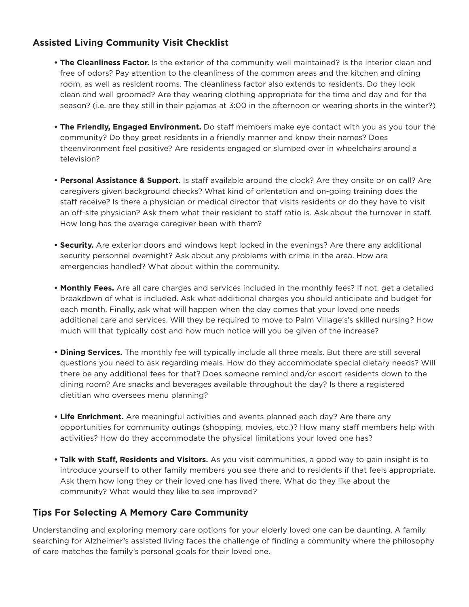# **Assisted Living Community Visit Checklist**

- **The Cleanliness Factor.** Is the exterior of the community well maintained? Is the interior clean and free of odors? Pay attention to the cleanliness of the common areas and the kitchen and dining room, as well as resident rooms. The cleanliness factor also extends to residents. Do they look clean and well groomed? Are they wearing clothing appropriate for the time and day and for the season? (i.e. are they still in their pajamas at 3:00 in the afternoon or wearing shorts in the winter?)
- **The Friendly, Engaged Environment.** Do staff members make eye contact with you as you tour the community? Do they greet residents in a friendly manner and know their names? Does theenvironment feel positive? Are residents engaged or slumped over in wheelchairs around a television?
- Personal Assistance & Support. Is staff available around the clock? Are they onsite or on call? Are caregivers given background checks? What kind of orientation and on-going training does the staff receive? Is there a physician or medical director that visits residents or do they have to visit an off-site physician? Ask them what their resident to staff ratio is. Ask about the turnover in staff. How long has the average caregiver been with them?
- **Security.** Are exterior doors and windows kept locked in the evenings? Are there any additional security personnel overnight? Ask about any problems with crime in the area. How are emergencies handled? What about within the community.
- **Monthly Fees.** Are all care charges and services included in the monthly fees? If not, get a detailed breakdown of what is included. Ask what additional charges you should anticipate and budget for each month. Finally, ask what will happen when the day comes that your loved one needs additional care and services. Will they be required to move to Palm Village's's skilled nursing? How much will that typically cost and how much notice will you be given of the increase?
- **Dining Services.** The monthly fee will typically include all three meals. But there are still several questions you need to ask regarding meals. How do they accommodate special dietary needs? Will there be any additional fees for that? Does someone remind and/or escort residents down to the dining room? Are snacks and beverages available throughout the day? Is there a registered dietitian who oversees menu planning?
- **Life Enrichment.** Are meaningful activities and events planned each day? Are there any opportunities for community outings (shopping, movies, etc.)? How many staff members help with activities? How do they accommodate the physical limitations your loved one has?
- **Talk with Staff, Residents and Visitors.** As you visit communities, a good way to gain insight is to introduce yourself to other family members you see there and to residents if that feels appropriate. Ask them how long they or their loved one has lived there. What do they like about the community? What would they like to see improved?

# **Tips For Selecting A Memory Care Community**

Understanding and exploring memory care options for your elderly loved one can be daunting. A family searching for Alzheimer's assisted living faces the challenge of finding a community where the philosophy of care matches the family's personal goals for their loved one.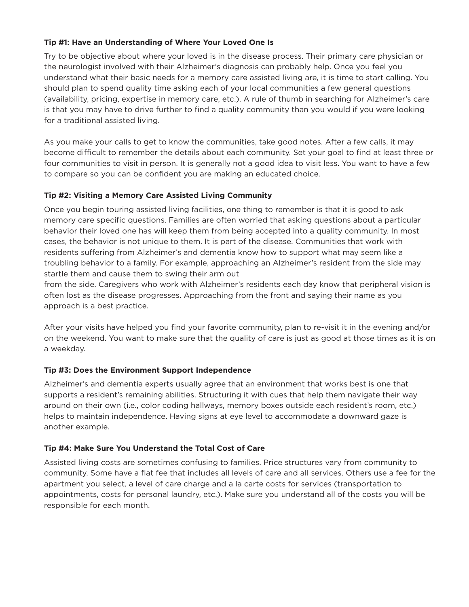#### **Tip #1: Have an Understanding of Where Your Loved One Is**

Try to be objective about where your loved is in the disease process. Their primary care physician or the neurologist involved with their Alzheimer's diagnosis can probably help. Once you feel you understand what their basic needs for a memory care assisted living are, it is time to start calling. You should plan to spend quality time asking each of your local communities a few general questions (availability, pricing, expertise in memory care, etc.). A rule of thumb in searching for Alzheimer's care is that you may have to drive further to find a quality community than you would if you were looking for a traditional assisted living.

As you make your calls to get to know the communities, take good notes. After a few calls, it may become difficult to remember the details about each community. Set your goal to find at least three or four communities to visit in person. It is generally not a good idea to visit less. You want to have a few to compare so you can be confident you are making an educated choice.

#### **Tip #2: Visiting a Memory Care Assisted Living Community**

Once you begin touring assisted living facilities, one thing to remember is that it is good to ask memory care specific questions. Families are often worried that asking questions about a particular behavior their loved one has will keep them from being accepted into a quality community. In most cases, the behavior is not unique to them. It is part of the disease. Communities that work with residents suffering from Alzheimer's and dementia know how to support what may seem like a troubling behavior to a family. For example, approaching an Alzheimer's resident from the side may startle them and cause them to swing their arm out

from the side. Caregivers who work with Alzheimer's residents each day know that peripheral vision is often lost as the disease progresses. Approaching from the front and saying their name as you approach is a best practice.

After your visits have helped you find your favorite community, plan to re-visit it in the evening and/or on the weekend. You want to make sure that the quality of care is just as good at those times as it is on a weekday.

#### **Tip #3: Does the Environment Support Independence**

Alzheimer's and dementia experts usually agree that an environment that works best is one that supports a resident's remaining abilities. Structuring it with cues that help them navigate their way around on their own (i.e., color coding hallways, memory boxes outside each resident's room, etc.) helps to maintain independence. Having signs at eye level to accommodate a downward gaze is another example.

#### **Tip #4: Make Sure You Understand the Total Cost of Care**

Assisted living costs are sometimes confusing to families. Price structures vary from community to community. Some have a flat fee that includes all levels of care and all services. Others use a fee for the apartment you select, a level of care charge and a la carte costs for services (transportation to appointments, costs for personal laundry, etc.). Make sure you understand all of the costs you will be responsible for each month.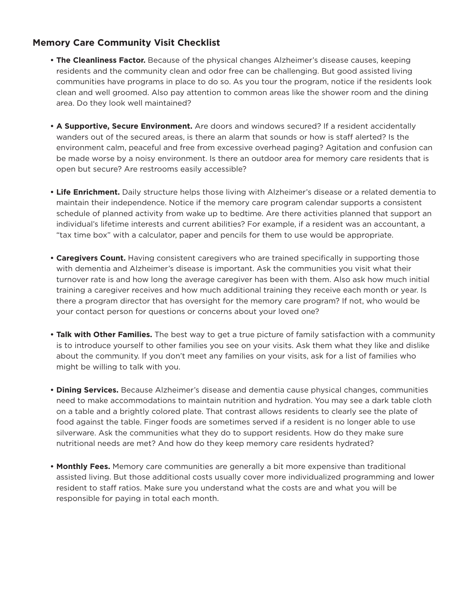# **Memory Care Community Visit Checklist**

- **The Cleanliness Factor.** Because of the physical changes Alzheimer's disease causes, keeping residents and the community clean and odor free can be challenging. But good assisted living communities have programs in place to do so. As you tour the program, notice if the residents look clean and well groomed. Also pay attention to common areas like the shower room and the dining area. Do they look well maintained?
- **A Supportive, Secure Environment.** Are doors and windows secured? If a resident accidentally wanders out of the secured areas, is there an alarm that sounds or how is staff alerted? Is the environment calm, peaceful and free from excessive overhead paging? Agitation and confusion can be made worse by a noisy environment. Is there an outdoor area for memory care residents that is open but secure? Are restrooms easily accessible?
- **Life Enrichment.** Daily structure helps those living with Alzheimer's disease or a related dementia to maintain their independence. Notice if the memory care program calendar supports a consistent schedule of planned activity from wake up to bedtime. Are there activities planned that support an individual's lifetime interests and current abilities? For example, if a resident was an accountant, a "tax time box" with a calculator, paper and pencils for them to use would be appropriate.
- **Caregivers Count.** Having consistent caregivers who are trained specifically in supporting those with dementia and Alzheimer's disease is important. Ask the communities you visit what their turnover rate is and how long the average caregiver has been with them. Also ask how much initial training a caregiver receives and how much additional training they receive each month or year. Is there a program director that has oversight for the memory care program? If not, who would be your contact person for questions or concerns about your loved one?
- **Talk with Other Families.** The best way to get a true picture of family satisfaction with a community is to introduce yourself to other families you see on your visits. Ask them what they like and dislike about the community. If you don't meet any families on your visits, ask for a list of families who might be willing to talk with you.
- **Dining Services.** Because Alzheimer's disease and dementia cause physical changes, communities need to make accommodations to maintain nutrition and hydration. You may see a dark table cloth on a table and a brightly colored plate. That contrast allows residents to clearly see the plate of food against the table. Finger foods are sometimes served if a resident is no longer able to use silverware. Ask the communities what they do to support residents. How do they make sure nutritional needs are met? And how do they keep memory care residents hydrated?
- **Monthly Fees.** Memory care communities are generally a bit more expensive than traditional assisted living. But those additional costs usually cover more individualized programming and lower resident to staff ratios. Make sure you understand what the costs are and what you will be responsible for paying in total each month.